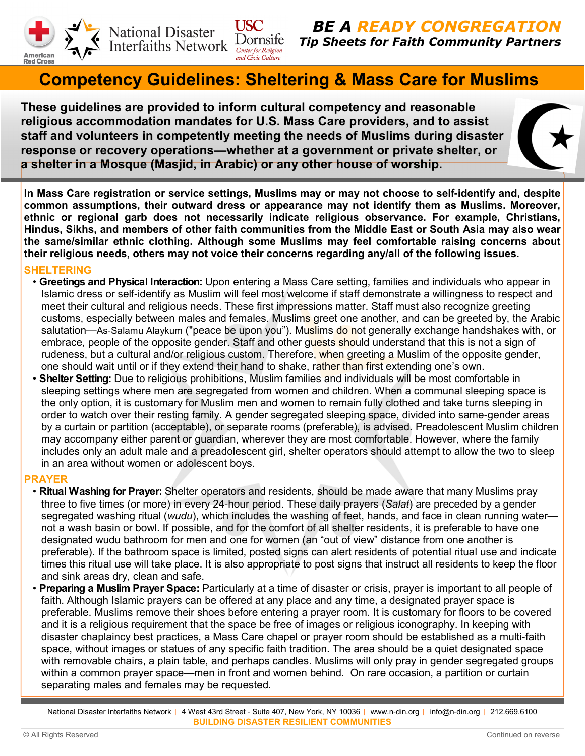

National Disaster<br>Interfaiths Network Dornsife

**BE A READY CONGREGATION** Tip Sheets for Faith Community Partners

# Competency Guidelines: Sheltering & Mass Care for Muslims

These guidelines are provided to inform cultural competency and reasonable religious accommodation mandates for U.S. Mass Care providers, and to assist staff and volunteers in competently meeting the needs of Muslims during disaster response or recovery operations**—**whether at a government or private shelter, or a shelter in a Mosque (Masjid, in Arabic) or any other house of worship.

USC -

In Mass Care registration or service settings, Muslims may or may not choose to self**-**identify and, despite common assumptions, their outward dress or appearance may not identify them as Muslims. Moreover, ethnic or regional garb does not necessarily indicate religious observance. For example, Christians, Hindus, Sikhs, and members of other faith communities from the Middle East or South Asia may also wear the same/similar ethnic clothing. Although some Muslims may feel comfortable raising concerns about their religious needs, others may not voice their concerns regarding any/all of the following issues.

## SHELTERING

- Greetings and Physical Interaction: Upon entering a Mass Care setting, families and individuals who appear in Islamic dress or self-identify as Muslim will feel most welcome if staff demonstrate a willingness to respect and meet their cultural and religious needs. These first impressions matter. Staff must also recognize greeting customs, especially between males and females. Muslims greet one another, and can be greeted by, the Arabic salutation—As-Salamu Alaykum ("peace be upon you"). Muslims do not generally exchange handshakes with, or embrace, people of the opposite gender. Staff and other quests should understand that this is not a sign of rudeness, but a cultural and/or religious custom. Therefore, when greeting a Muslim of the opposite gender, one should wait until or if they extend their hand to shake, rather than first extending one's own.
- Shelter Setting: Due to religious prohibitions, Muslim families and individuals will be most comfortable in sleeping settings where men are segregated from women and children. When a communal sleeping space is the only option, it is customary for Muslim men and women to remain fully clothed and take turns sleeping in order to watch over their resting family. A gender segregated sleeping space, divided into same-gender areas by a curtain or partition (acceptable), or separate rooms (preferable), is advised. Preadolescent Muslim children may accompany either parent or guardian, wherever they are most comfortable. However, where the family includes only an adult male and a preadolescent girl, shelter operators should attempt to allow the two to sleep in an area without women or adolescent boys.

## PRAYER

- Ritual Washing for Prayer: Shelter operators and residents, should be made aware that many Muslims pray three to five times (or more) in every 24-hour period. These daily prayers (Salat) are preceded by a gender segregated washing ritual (wudu), which includes the washing of feet, hands, and face in clean running water not a wash basin or bowl. If possible, and for the comfort of all shelter residents, it is preferable to have one designated wudu bathroom for men and one for women (an "out of view" distance from one another is preferable). If the bathroom space is limited, posted signs can alert residents of potential ritual use and indicate times this ritual use will take place. It is also appropriate to post signs that instruct all residents to keep the floor and sink areas dry, clean and safe.
- Preparing a Muslim Prayer Space: Particularly at a time of disaster or crisis, prayer is important to all people of faith. Although Islamic prayers can be offered at any place and any time, a designated prayer space is preferable. Muslims remove their shoes before entering a prayer room. It is customary for floors to be covered and it is a religious requirement that the space be free of images or religious iconography. In keeping with disaster chaplaincy best practices, a Mass Care chapel or prayer room should be established as a multi-faith space, without images or statues of any specific faith tradition. The area should be a quiet designated space with removable chairs, a plain table, and perhaps candles. Muslims will only pray in gender segregated groups within a common prayer space—men in front and women behind. On rare occasion, a partition or curtain separating males and females may be requested.

National Disaster Interfaiths Network | 4 West 43rd Street - Suite 407, New York, NY 10036 | www.n-din.org | info@n-din.org | 212.669.6100 BUILDING DISASTER RESILIENT COMMUNITIES